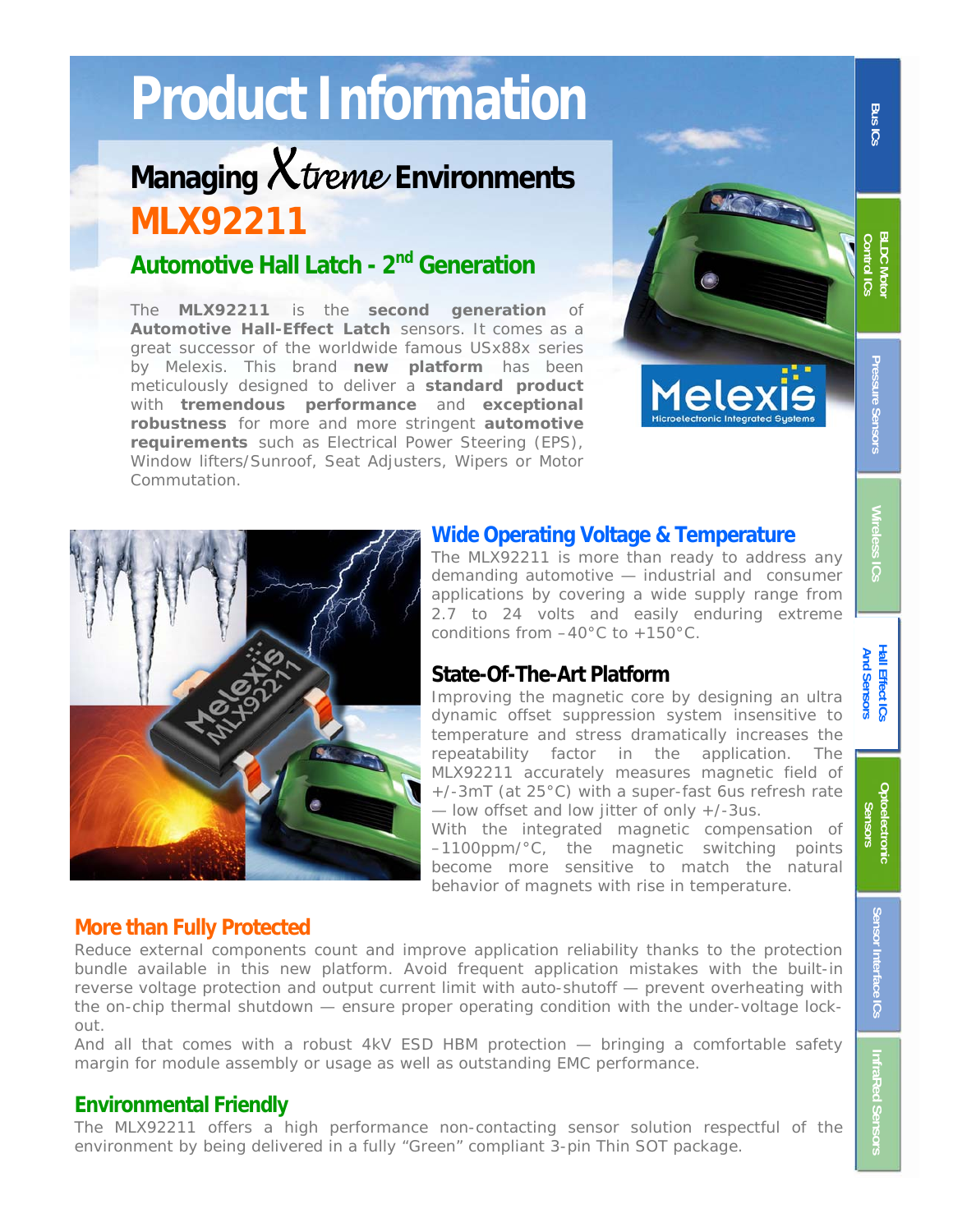# **Product Information**

# **Managing** X treme **Environments MLX92211**

# **Automotive Hall Latch - 2nd Generation**

The **MLX92211** is the **second generation** of **Automotive Hall-Effect Latch** sensors. It comes as a great successor of the worldwide famous USx88x series by Melexis. This brand **new platform** has been meticulously designed to deliver a **standard product**  with **tremendous performance** and **exceptional robustness** for more and more stringent **automotive requirements** such as Electrical Power Steering (EPS), Window lifters/Sunroof, Seat Adjusters, Wipers or Motor Commutation.



Pressure Sensors

**Wireless ICs** 

**BLDC Moto** 



#### **Wide Operating Voltage & Temperature**

The MLX92211 is more than ready to address any demanding automotive — industrial and consumer applications by covering a wide supply range from 2.7 to 24 volts and easily enduring extreme conditions from –40°C to +150°C.

#### **State-Of-The-Art Platform**

Improving the magnetic core by designing an ultra dynamic offset suppression system insensitive to temperature and stress dramatically increases the repeatability factor in the application. The MLX92211 accurately measures magnetic field of +/-3mT (at 25°C) with a super-fast 6us refresh rate  $-$  low offset and low jitter of only  $+/-3$ us.

With the integrated magnetic compensation of –1100ppm/°C, the magnetic switching points become more sensitive to match the natural behavior of magnets with rise in temperature.

#### **More than Fully Protected**

Reduce external components count and improve application reliability thanks to the protection bundle available in this new platform. Avoid frequent application mistakes with the built-in reverse voltage protection and output current limit with auto-shutoff — prevent overheating with the on-chip thermal shutdown — ensure proper operating condition with the under-voltage lockout.

And all that comes with a robust 4kV ESD HBM protection — bringing a comfortable safety margin for module assembly or usage as well as outstanding EMC performance.

#### **Environmental Friendly**

The MLX92211 offers a high performance non-contacting sensor solution respectful of the environment by being delivered in a fully "Green" compliant 3-pin Thin SOT package.



**InfraRed Sensors**